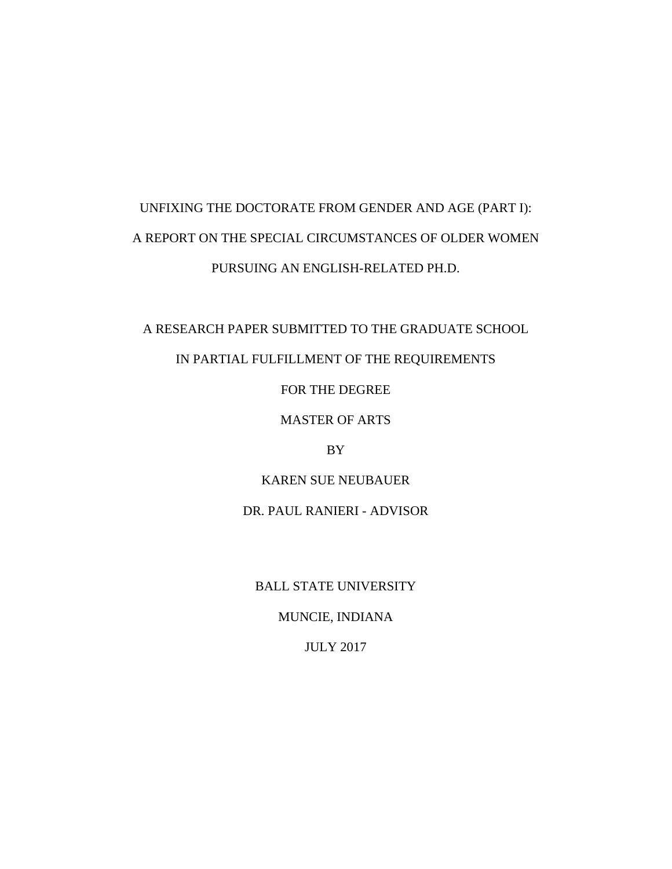# UNFIXING THE DOCTORATE FROM GENDER AND AGE (PART I): A REPORT ON THE SPECIAL CIRCUMSTANCES OF OLDER WOMEN PURSUING AN ENGLISH-RELATED PH.D.

A RESEARCH PAPER SUBMITTED TO THE GRADUATE SCHOOL

IN PARTIAL FULFILLMENT OF THE REQUIREMENTS

FOR THE DEGREE

MASTER OF ARTS

BY

KAREN SUE NEUBAUER

DR. PAUL RANIERI - ADVISOR

BALL STATE UNIVERSITY

MUNCIE, INDIANA

JULY 2017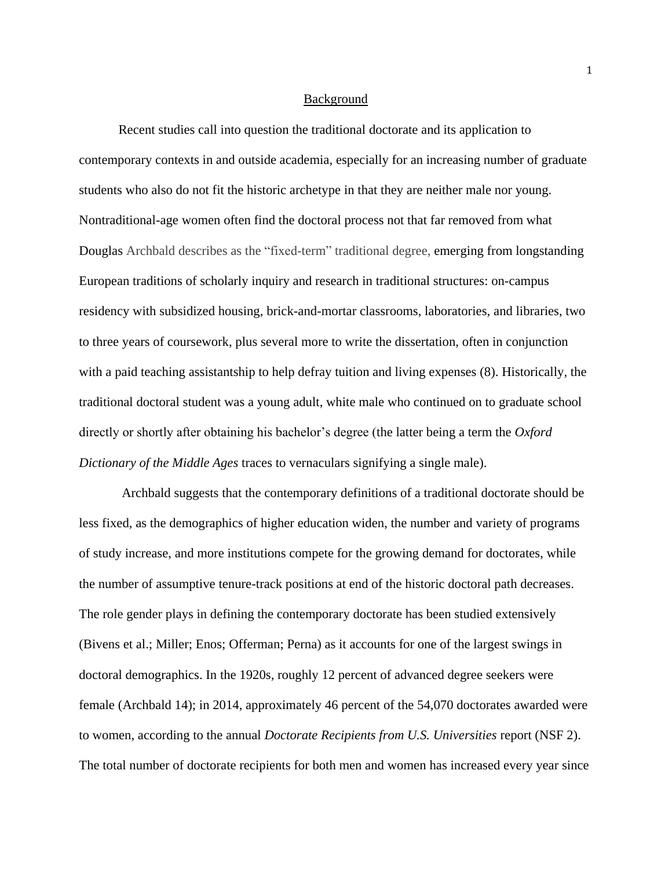## Background

Recent studies call into question the traditional doctorate and its application to contemporary contexts in and outside academia, especially for an increasing number of graduate students who also do not fit the historic archetype in that they are neither male nor young. Nontraditional-age women often find the doctoral process not that far removed from what Douglas Archbald describes as the "fixed-term" traditional degree, emerging from longstanding European traditions of scholarly inquiry and research in traditional structures: on-campus residency with subsidized housing, brick-and-mortar classrooms, laboratories, and libraries, two to three years of coursework, plus several more to write the dissertation, often in conjunction with a paid teaching assistantship to help defray tuition and living expenses (8). Historically, the traditional doctoral student was a young adult, white male who continued on to graduate school directly or shortly after obtaining his bachelor's degree (the latter being a term the *Oxford Dictionary of the Middle Ages* traces to vernaculars signifying a single male).

Archbald suggests that the contemporary definitions of a traditional doctorate should be less fixed, as the demographics of higher education widen, the number and variety of programs of study increase, and more institutions compete for the growing demand for doctorates, while the number of assumptive tenure-track positions at end of the historic doctoral path decreases. The role gender plays in defining the contemporary doctorate has been studied extensively (Bivens et al.; Miller; Enos; Offerman; Perna) as it accounts for one of the largest swings in doctoral demographics. In the 1920s, roughly 12 percent of advanced degree seekers were female (Archbald 14); in 2014, approximately 46 percent of the 54,070 doctorates awarded were to women, according to the annual *Doctorate Recipients from U.S. Universities* report (NSF 2). The total number of doctorate recipients for both men and women has increased every year since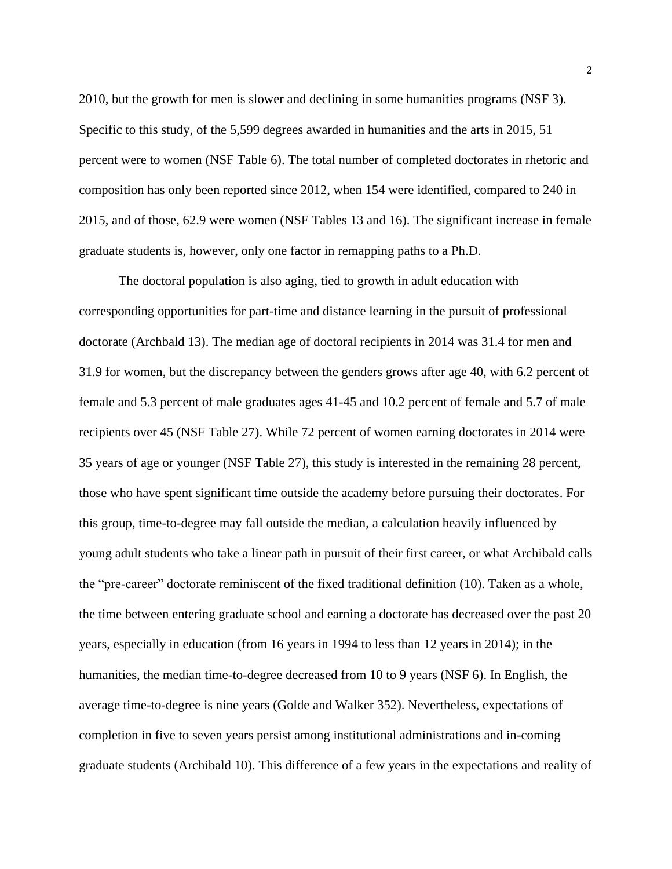2010, but the growth for men is slower and declining in some humanities programs (NSF 3). Specific to this study, of the 5,599 degrees awarded in humanities and the arts in 2015, 51 percent were to women (NSF Table 6). The total number of completed doctorates in rhetoric and composition has only been reported since 2012, when 154 were identified, compared to 240 in 2015, and of those, 62.9 were women (NSF Tables 13 and 16). The significant increase in female graduate students is, however, only one factor in remapping paths to a Ph.D.

The doctoral population is also aging, tied to growth in adult education with corresponding opportunities for part-time and distance learning in the pursuit of professional doctorate (Archbald 13). The median age of doctoral recipients in 2014 was 31.4 for men and 31.9 for women, but the discrepancy between the genders grows after age 40, with 6.2 percent of female and 5.3 percent of male graduates ages 41-45 and 10.2 percent of female and 5.7 of male recipients over 45 (NSF Table 27). While 72 percent of women earning doctorates in 2014 were 35 years of age or younger (NSF Table 27), this study is interested in the remaining 28 percent, those who have spent significant time outside the academy before pursuing their doctorates. For this group, time-to-degree may fall outside the median, a calculation heavily influenced by young adult students who take a linear path in pursuit of their first career, or what Archibald calls the "pre-career" doctorate reminiscent of the fixed traditional definition (10). Taken as a whole, the time between entering graduate school and earning a doctorate has decreased over the past 20 years, especially in education (from 16 years in 1994 to less than 12 years in 2014); in the humanities, the median time-to-degree decreased from 10 to 9 years (NSF 6). In English, the average time-to-degree is nine years (Golde and Walker 352). Nevertheless, expectations of completion in five to seven years persist among institutional administrations and in-coming graduate students (Archibald 10). This difference of a few years in the expectations and reality of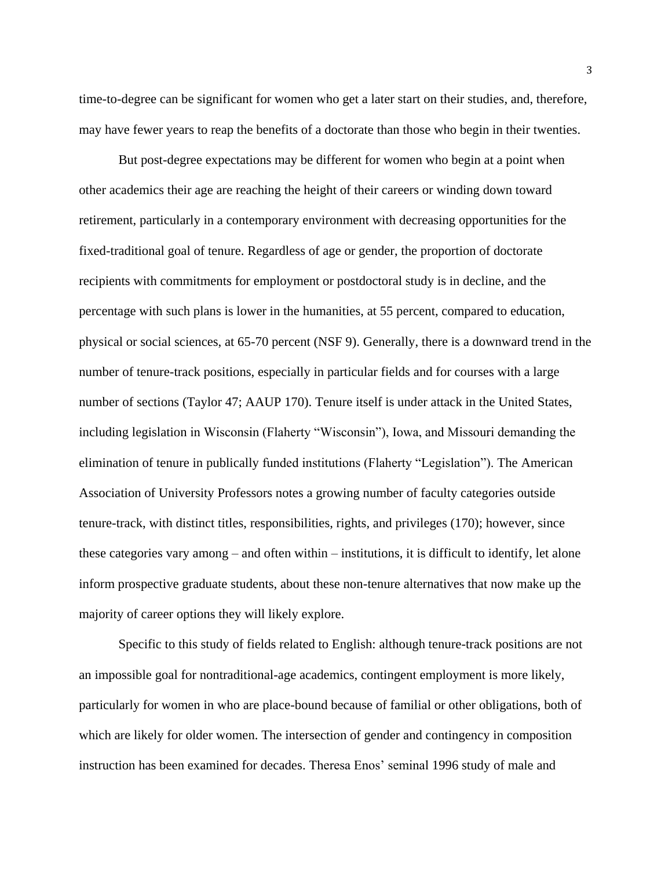time-to-degree can be significant for women who get a later start on their studies, and, therefore, may have fewer years to reap the benefits of a doctorate than those who begin in their twenties.

But post-degree expectations may be different for women who begin at a point when other academics their age are reaching the height of their careers or winding down toward retirement, particularly in a contemporary environment with decreasing opportunities for the fixed-traditional goal of tenure. Regardless of age or gender, the proportion of doctorate recipients with commitments for employment or postdoctoral study is in decline, and the percentage with such plans is lower in the humanities, at 55 percent, compared to education, physical or social sciences, at 65-70 percent (NSF 9). Generally, there is a downward trend in the number of tenure-track positions, especially in particular fields and for courses with a large number of sections (Taylor 47; AAUP 170). Tenure itself is under attack in the United States, including legislation in Wisconsin (Flaherty "Wisconsin"), Iowa, and Missouri demanding the elimination of tenure in publically funded institutions (Flaherty "Legislation"). The American Association of University Professors notes a growing number of faculty categories outside tenure-track, with distinct titles, responsibilities, rights, and privileges (170); however, since these categories vary among – and often within – institutions, it is difficult to identify, let alone inform prospective graduate students, about these non-tenure alternatives that now make up the majority of career options they will likely explore.

Specific to this study of fields related to English: although tenure-track positions are not an impossible goal for nontraditional-age academics, contingent employment is more likely, particularly for women in who are place-bound because of familial or other obligations, both of which are likely for older women. The intersection of gender and contingency in composition instruction has been examined for decades. Theresa Enos' seminal 1996 study of male and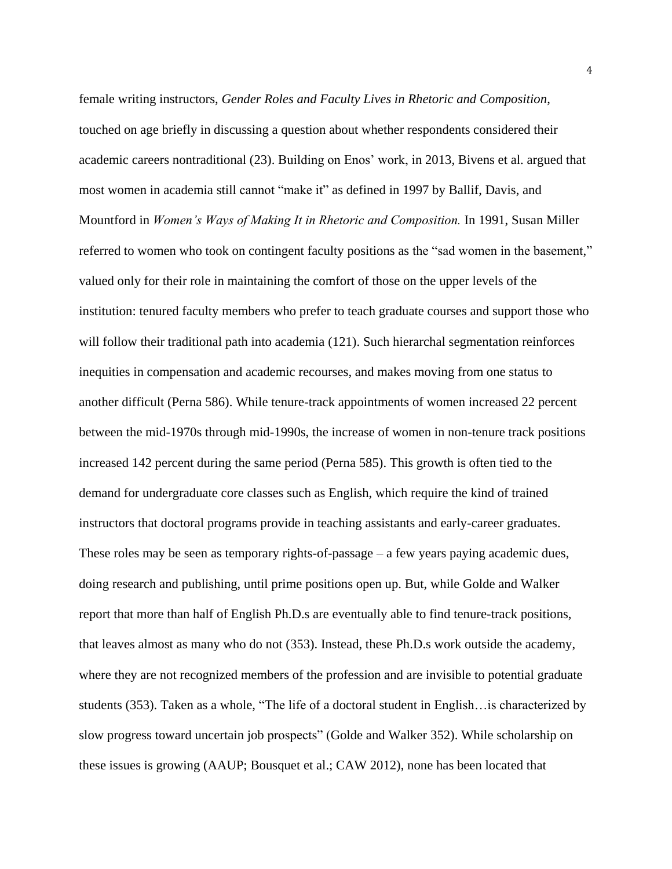female writing instructors, *Gender Roles and Faculty Lives in Rhetoric and Composition*, touched on age briefly in discussing a question about whether respondents considered their academic careers nontraditional (23). Building on Enos' work, in 2013, Bivens et al. argued that most women in academia still cannot "make it" as defined in 1997 by Ballif, Davis, and Mountford in *Women's Ways of Making It in Rhetoric and Composition.* In 1991, Susan Miller referred to women who took on contingent faculty positions as the "sad women in the basement," valued only for their role in maintaining the comfort of those on the upper levels of the institution: tenured faculty members who prefer to teach graduate courses and support those who will follow their traditional path into academia (121). Such hierarchal segmentation reinforces inequities in compensation and academic recourses, and makes moving from one status to another difficult (Perna 586). While tenure-track appointments of women increased 22 percent between the mid-1970s through mid-1990s, the increase of women in non-tenure track positions increased 142 percent during the same period (Perna 585). This growth is often tied to the demand for undergraduate core classes such as English, which require the kind of trained instructors that doctoral programs provide in teaching assistants and early-career graduates. These roles may be seen as temporary rights-of-passage – a few years paying academic dues, doing research and publishing, until prime positions open up. But, while Golde and Walker report that more than half of English Ph.D.s are eventually able to find tenure-track positions, that leaves almost as many who do not (353). Instead, these Ph.D.s work outside the academy, where they are not recognized members of the profession and are invisible to potential graduate students (353). Taken as a whole, "The life of a doctoral student in English…is characterized by slow progress toward uncertain job prospects" (Golde and Walker 352). While scholarship on these issues is growing (AAUP; Bousquet et al.; CAW 2012), none has been located that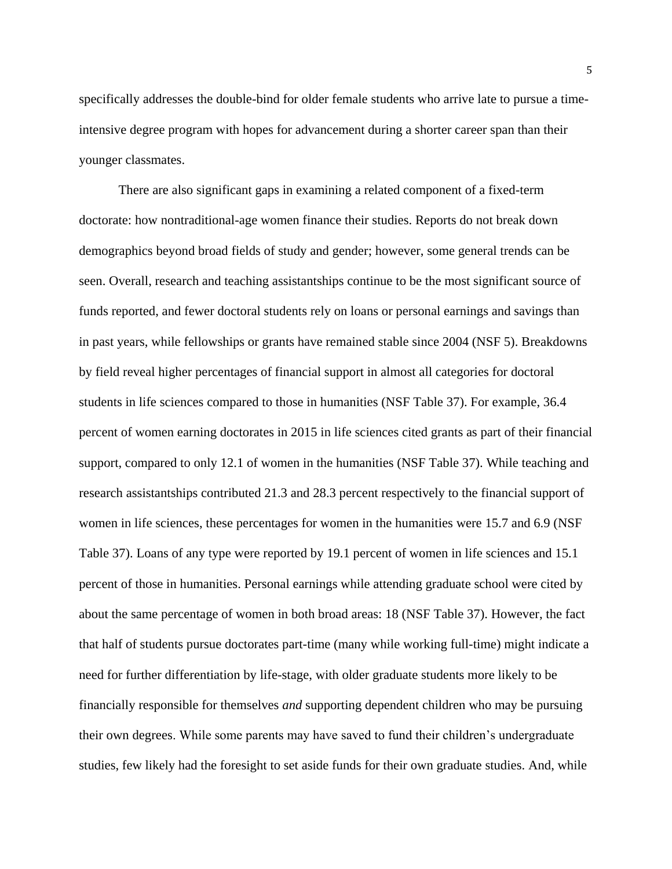specifically addresses the double-bind for older female students who arrive late to pursue a timeintensive degree program with hopes for advancement during a shorter career span than their younger classmates.

There are also significant gaps in examining a related component of a fixed-term doctorate: how nontraditional-age women finance their studies. Reports do not break down demographics beyond broad fields of study and gender; however, some general trends can be seen. Overall, research and teaching assistantships continue to be the most significant source of funds reported, and fewer doctoral students rely on loans or personal earnings and savings than in past years, while fellowships or grants have remained stable since 2004 (NSF 5). Breakdowns by field reveal higher percentages of financial support in almost all categories for doctoral students in life sciences compared to those in humanities (NSF Table 37). For example, 36.4 percent of women earning doctorates in 2015 in life sciences cited grants as part of their financial support, compared to only 12.1 of women in the humanities (NSF Table 37). While teaching and research assistantships contributed 21.3 and 28.3 percent respectively to the financial support of women in life sciences, these percentages for women in the humanities were 15.7 and 6.9 (NSF Table 37). Loans of any type were reported by 19.1 percent of women in life sciences and 15.1 percent of those in humanities. Personal earnings while attending graduate school were cited by about the same percentage of women in both broad areas: 18 (NSF Table 37). However, the fact that half of students pursue doctorates part-time (many while working full-time) might indicate a need for further differentiation by life-stage, with older graduate students more likely to be financially responsible for themselves *and* supporting dependent children who may be pursuing their own degrees. While some parents may have saved to fund their children's undergraduate studies, few likely had the foresight to set aside funds for their own graduate studies. And, while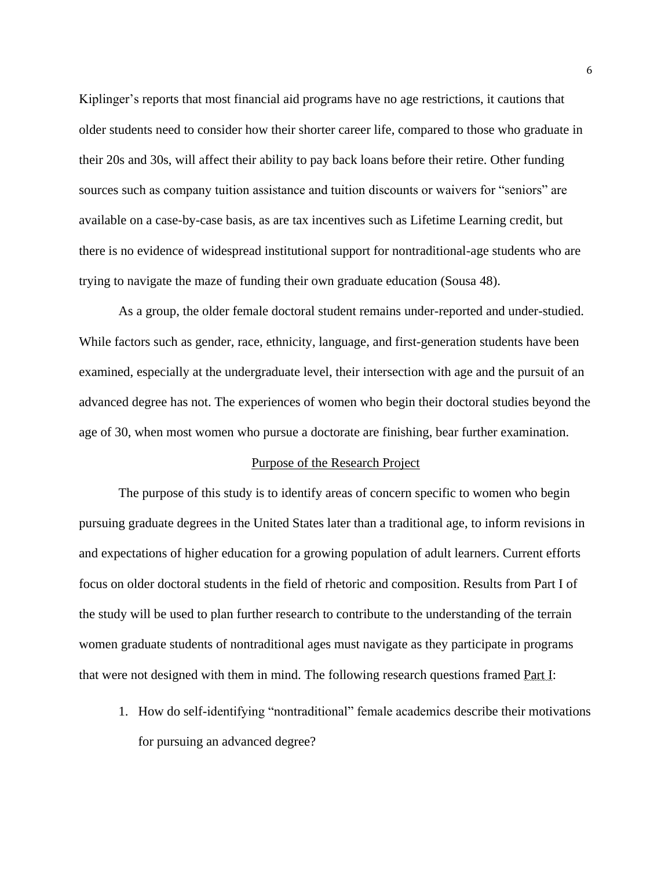Kiplinger's reports that most financial aid programs have no age restrictions, it cautions that older students need to consider how their shorter career life, compared to those who graduate in their 20s and 30s, will affect their ability to pay back loans before their retire. Other funding sources such as company tuition assistance and tuition discounts or waivers for "seniors" are available on a case-by-case basis, as are tax incentives such as Lifetime Learning credit, but there is no evidence of widespread institutional support for nontraditional-age students who are trying to navigate the maze of funding their own graduate education (Sousa 48).

As a group, the older female doctoral student remains under-reported and under-studied. While factors such as gender, race, ethnicity, language, and first-generation students have been examined, especially at the undergraduate level, their intersection with age and the pursuit of an advanced degree has not. The experiences of women who begin their doctoral studies beyond the age of 30, when most women who pursue a doctorate are finishing, bear further examination.

#### Purpose of the Research Project

The purpose of this study is to identify areas of concern specific to women who begin pursuing graduate degrees in the United States later than a traditional age, to inform revisions in and expectations of higher education for a growing population of adult learners. Current efforts focus on older doctoral students in the field of rhetoric and composition. Results from Part I of the study will be used to plan further research to contribute to the understanding of the terrain women graduate students of nontraditional ages must navigate as they participate in programs that were not designed with them in mind. The following research questions framed Part I:

1. How do self-identifying "nontraditional" female academics describe their motivations for pursuing an advanced degree?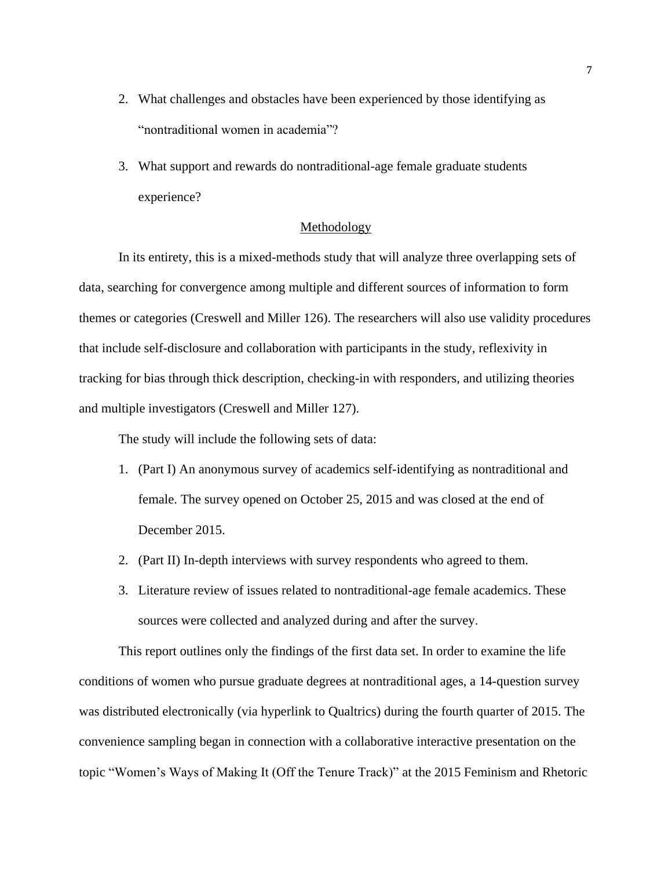- 2. What challenges and obstacles have been experienced by those identifying as "nontraditional women in academia"?
- 3. What support and rewards do nontraditional-age female graduate students experience?

# Methodology

In its entirety, this is a mixed-methods study that will analyze three overlapping sets of data, searching for convergence among multiple and different sources of information to form themes or categories (Creswell and Miller 126). The researchers will also use validity procedures that include self-disclosure and collaboration with participants in the study, reflexivity in tracking for bias through thick description, checking-in with responders, and utilizing theories and multiple investigators (Creswell and Miller 127).

The study will include the following sets of data:

- 1. (Part I) An anonymous survey of academics self-identifying as nontraditional and female. The survey opened on October 25, 2015 and was closed at the end of December 2015.
- 2. (Part II) In-depth interviews with survey respondents who agreed to them.
- 3. Literature review of issues related to nontraditional-age female academics. These sources were collected and analyzed during and after the survey.

This report outlines only the findings of the first data set. In order to examine the life conditions of women who pursue graduate degrees at nontraditional ages, a 14-question survey was distributed electronically (via hyperlink to Qualtrics) during the fourth quarter of 2015. The convenience sampling began in connection with a collaborative interactive presentation on the topic "Women's Ways of Making It (Off the Tenure Track)" at the 2015 Feminism and Rhetoric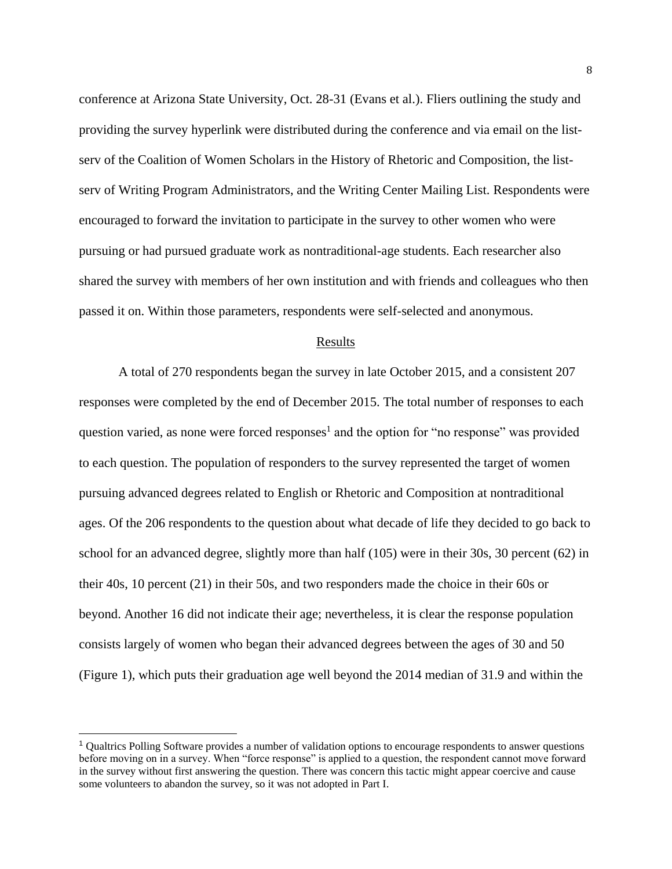conference at Arizona State University, Oct. 28-31 (Evans et al.). Fliers outlining the study and providing the survey hyperlink were distributed during the conference and via email on the listserv of the Coalition of Women Scholars in the History of Rhetoric and Composition, the listserv of Writing Program Administrators, and the Writing Center Mailing List. Respondents were encouraged to forward the invitation to participate in the survey to other women who were pursuing or had pursued graduate work as nontraditional-age students. Each researcher also shared the survey with members of her own institution and with friends and colleagues who then passed it on. Within those parameters, respondents were self-selected and anonymous.

#### Results

A total of 270 respondents began the survey in late October 2015, and a consistent 207 responses were completed by the end of December 2015. The total number of responses to each question varied, as none were forced responses<sup>1</sup> and the option for "no response" was provided to each question. The population of responders to the survey represented the target of women pursuing advanced degrees related to English or Rhetoric and Composition at nontraditional ages. Of the 206 respondents to the question about what decade of life they decided to go back to school for an advanced degree, slightly more than half (105) were in their 30s, 30 percent (62) in their 40s, 10 percent (21) in their 50s, and two responders made the choice in their 60s or beyond. Another 16 did not indicate their age; nevertheless, it is clear the response population consists largely of women who began their advanced degrees between the ages of 30 and 50 (Figure 1), which puts their graduation age well beyond the 2014 median of 31.9 and within the

 $\overline{a}$ 

<sup>1</sup> Qualtrics Polling Software provides a number of validation options to encourage respondents to answer questions before moving on in a survey. When "force response" is applied to a question, the respondent cannot move forward in the survey without first answering the question. There was concern this tactic might appear coercive and cause some volunteers to abandon the survey, so it was not adopted in Part I.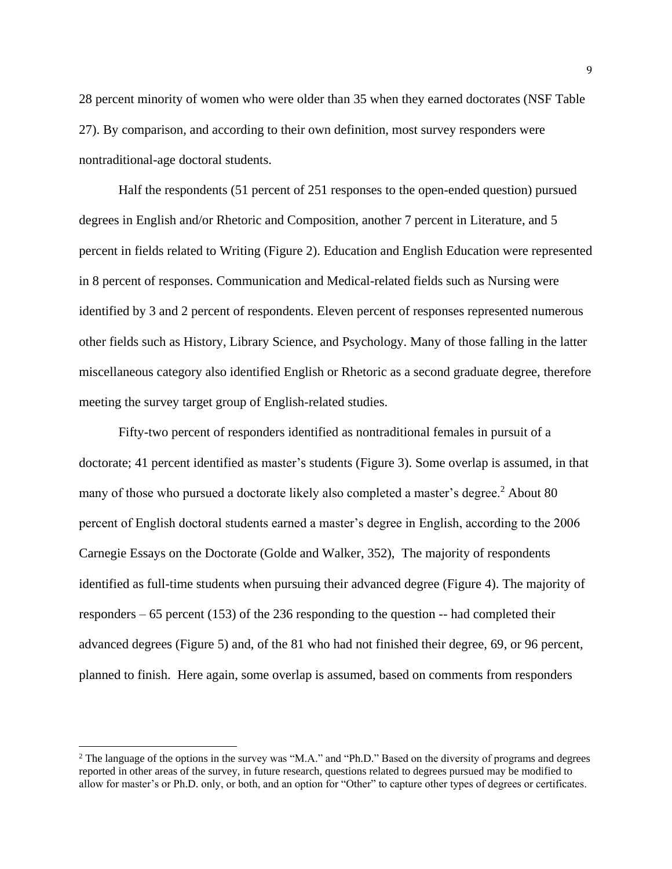28 percent minority of women who were older than 35 when they earned doctorates (NSF Table 27). By comparison, and according to their own definition, most survey responders were nontraditional-age doctoral students.

Half the respondents (51 percent of 251 responses to the open-ended question) pursued degrees in English and/or Rhetoric and Composition, another 7 percent in Literature, and 5 percent in fields related to Writing (Figure 2). Education and English Education were represented in 8 percent of responses. Communication and Medical-related fields such as Nursing were identified by 3 and 2 percent of respondents. Eleven percent of responses represented numerous other fields such as History, Library Science, and Psychology. Many of those falling in the latter miscellaneous category also identified English or Rhetoric as a second graduate degree, therefore meeting the survey target group of English-related studies.

Fifty-two percent of responders identified as nontraditional females in pursuit of a doctorate; 41 percent identified as master's students (Figure 3). Some overlap is assumed, in that many of those who pursued a doctorate likely also completed a master's degree.<sup>2</sup> About 80 percent of English doctoral students earned a master's degree in English, according to the 2006 Carnegie Essays on the Doctorate (Golde and Walker, 352), The majority of respondents identified as full-time students when pursuing their advanced degree (Figure 4). The majority of responders – 65 percent (153) of the 236 responding to the question -- had completed their advanced degrees (Figure 5) and, of the 81 who had not finished their degree, 69, or 96 percent, planned to finish. Here again, some overlap is assumed, based on comments from responders

 $\overline{a}$ 

<sup>&</sup>lt;sup>2</sup> The language of the options in the survey was "M.A." and "Ph.D." Based on the diversity of programs and degrees reported in other areas of the survey, in future research, questions related to degrees pursued may be modified to allow for master's or Ph.D. only, or both, and an option for "Other" to capture other types of degrees or certificates.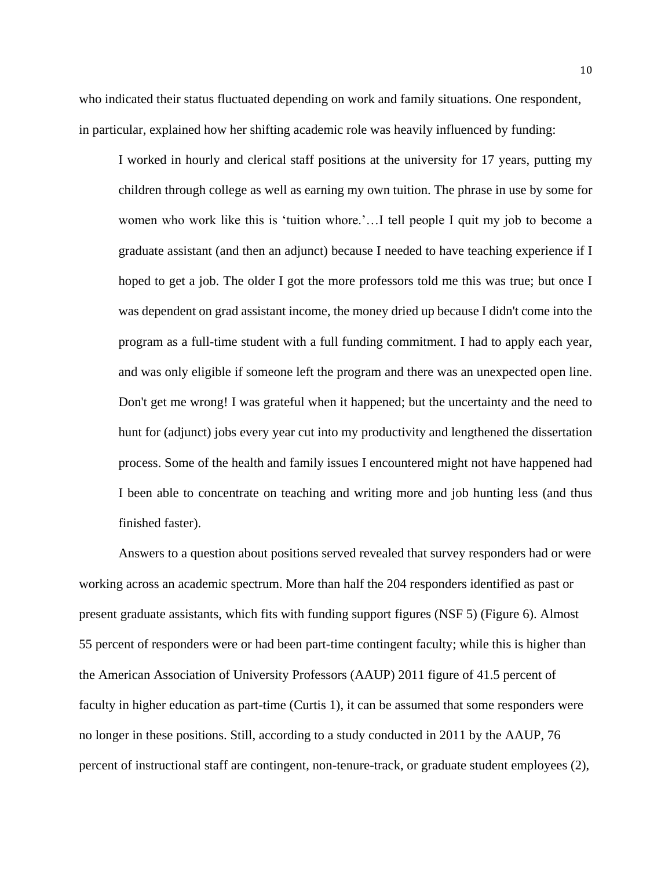who indicated their status fluctuated depending on work and family situations. One respondent, in particular, explained how her shifting academic role was heavily influenced by funding:

I worked in hourly and clerical staff positions at the university for 17 years, putting my children through college as well as earning my own tuition. The phrase in use by some for women who work like this is 'tuition whore.'…I tell people I quit my job to become a graduate assistant (and then an adjunct) because I needed to have teaching experience if I hoped to get a job. The older I got the more professors told me this was true; but once I was dependent on grad assistant income, the money dried up because I didn't come into the program as a full-time student with a full funding commitment. I had to apply each year, and was only eligible if someone left the program and there was an unexpected open line. Don't get me wrong! I was grateful when it happened; but the uncertainty and the need to hunt for (adjunct) jobs every year cut into my productivity and lengthened the dissertation process. Some of the health and family issues I encountered might not have happened had I been able to concentrate on teaching and writing more and job hunting less (and thus finished faster).

Answers to a question about positions served revealed that survey responders had or were working across an academic spectrum. More than half the 204 responders identified as past or present graduate assistants, which fits with funding support figures (NSF 5) (Figure 6). Almost 55 percent of responders were or had been part-time contingent faculty; while this is higher than the American Association of University Professors (AAUP) 2011 figure of 41.5 percent of faculty in higher education as part-time (Curtis 1), it can be assumed that some responders were no longer in these positions. Still, according to a study conducted in 2011 by the AAUP, 76 percent of instructional staff are contingent, non-tenure-track, or graduate student employees (2),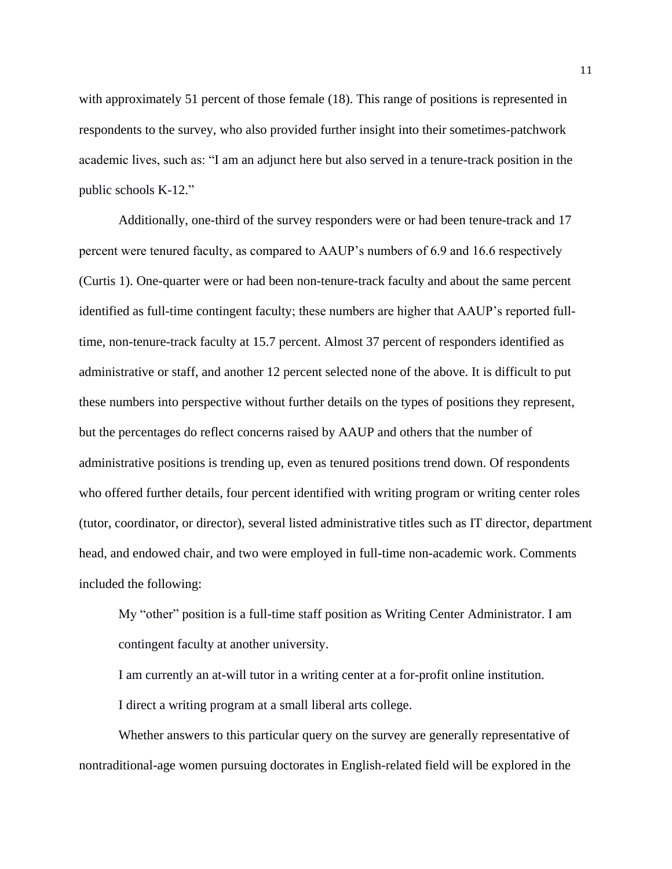with approximately 51 percent of those female (18). This range of positions is represented in respondents to the survey, who also provided further insight into their sometimes-patchwork academic lives, such as: "I am an adjunct here but also served in a tenure-track position in the public schools K-12."

Additionally, one-third of the survey responders were or had been tenure-track and 17 percent were tenured faculty, as compared to AAUP's numbers of 6.9 and 16.6 respectively (Curtis 1). One-quarter were or had been non-tenure-track faculty and about the same percent identified as full-time contingent faculty; these numbers are higher that AAUP's reported fulltime, non-tenure-track faculty at 15.7 percent. Almost 37 percent of responders identified as administrative or staff, and another 12 percent selected none of the above. It is difficult to put these numbers into perspective without further details on the types of positions they represent, but the percentages do reflect concerns raised by AAUP and others that the number of administrative positions is trending up, even as tenured positions trend down. Of respondents who offered further details, four percent identified with writing program or writing center roles (tutor, coordinator, or director), several listed administrative titles such as IT director, department head, and endowed chair, and two were employed in full-time non-academic work. Comments included the following:

My "other" position is a full-time staff position as Writing Center Administrator. I am contingent faculty at another university.

I am currently an at-will tutor in a writing center at a for-profit online institution. I direct a writing program at a small liberal arts college.

Whether answers to this particular query on the survey are generally representative of nontraditional-age women pursuing doctorates in English-related field will be explored in the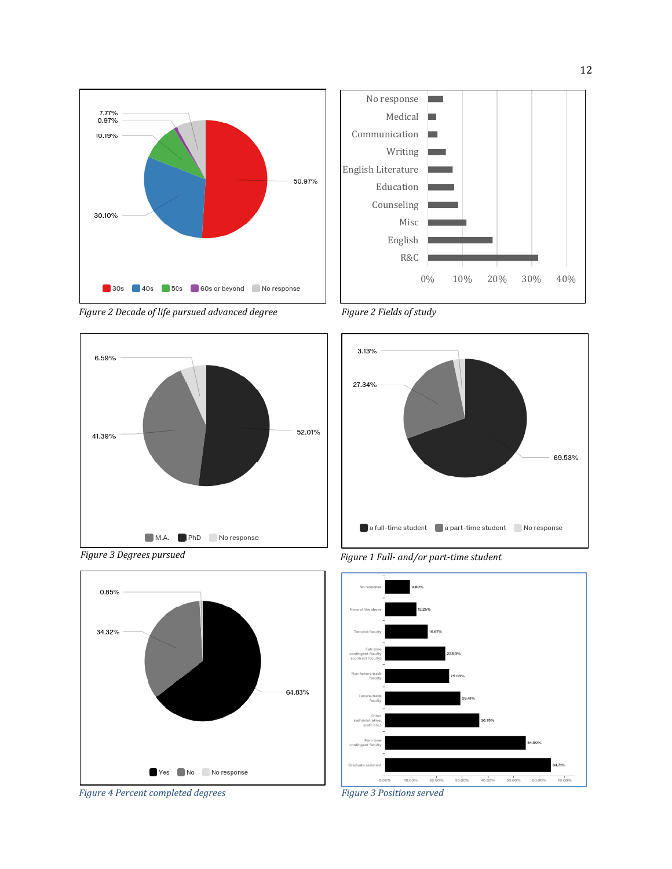







*Figure 2 Fields of study*



*Figure 1 Full- and/or part-time student*



*Figure 3 Degrees pursued*



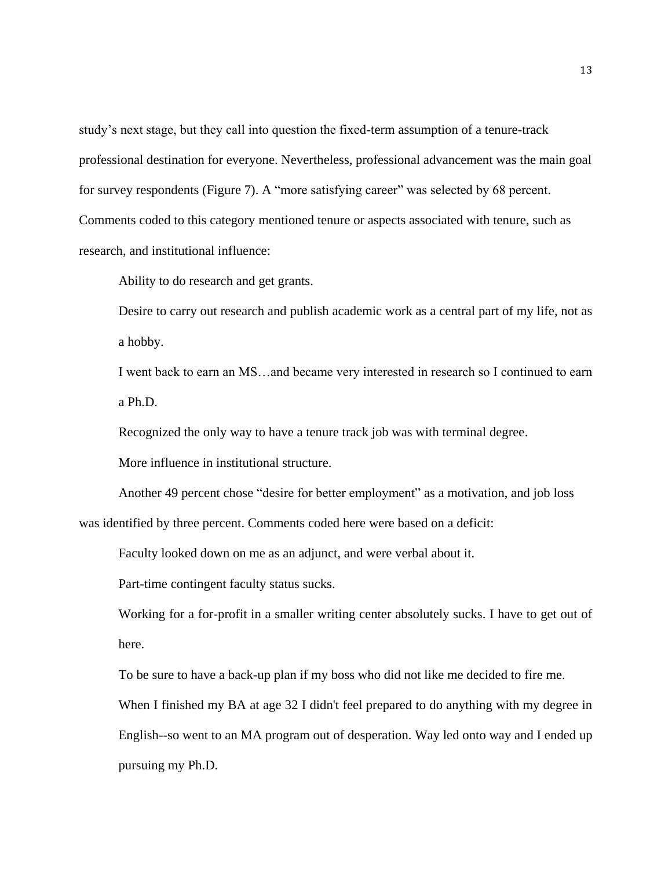study's next stage, but they call into question the fixed-term assumption of a tenure-track professional destination for everyone. Nevertheless, professional advancement was the main goal for survey respondents (Figure 7). A "more satisfying career" was selected by 68 percent. Comments coded to this category mentioned tenure or aspects associated with tenure, such as research, and institutional influence:

Ability to do research and get grants.

Desire to carry out research and publish academic work as a central part of my life, not as a hobby.

I went back to earn an MS…and became very interested in research so I continued to earn a Ph.D.

Recognized the only way to have a tenure track job was with terminal degree.

More influence in institutional structure.

Another 49 percent chose "desire for better employment" as a motivation, and job loss was identified by three percent. Comments coded here were based on a deficit:

Faculty looked down on me as an adjunct, and were verbal about it.

Part-time contingent faculty status sucks.

Working for a for-profit in a smaller writing center absolutely sucks. I have to get out of here.

To be sure to have a back-up plan if my boss who did not like me decided to fire me.

When I finished my BA at age 32 I didn't feel prepared to do anything with my degree in English--so went to an MA program out of desperation. Way led onto way and I ended up pursuing my Ph.D.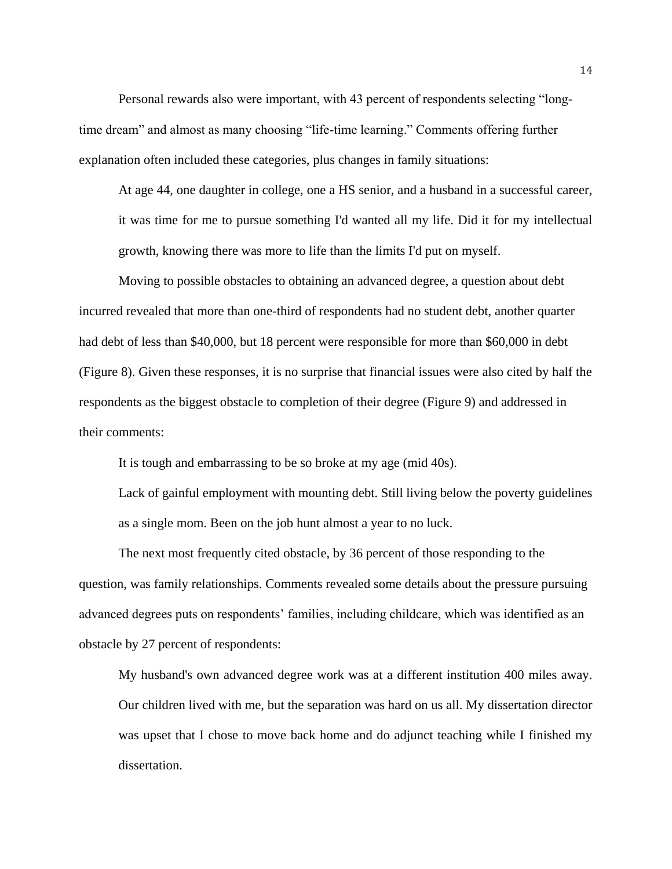Personal rewards also were important, with 43 percent of respondents selecting "longtime dream" and almost as many choosing "life-time learning." Comments offering further explanation often included these categories, plus changes in family situations:

At age 44, one daughter in college, one a HS senior, and a husband in a successful career, it was time for me to pursue something I'd wanted all my life. Did it for my intellectual growth, knowing there was more to life than the limits I'd put on myself.

Moving to possible obstacles to obtaining an advanced degree, a question about debt incurred revealed that more than one-third of respondents had no student debt, another quarter had debt of less than \$40,000, but 18 percent were responsible for more than \$60,000 in debt (Figure 8). Given these responses, it is no surprise that financial issues were also cited by half the respondents as the biggest obstacle to completion of their degree (Figure 9) and addressed in their comments:

It is tough and embarrassing to be so broke at my age (mid 40s).

Lack of gainful employment with mounting debt. Still living below the poverty guidelines as a single mom. Been on the job hunt almost a year to no luck.

The next most frequently cited obstacle, by 36 percent of those responding to the question, was family relationships. Comments revealed some details about the pressure pursuing advanced degrees puts on respondents' families, including childcare, which was identified as an obstacle by 27 percent of respondents:

My husband's own advanced degree work was at a different institution 400 miles away. Our children lived with me, but the separation was hard on us all. My dissertation director was upset that I chose to move back home and do adjunct teaching while I finished my dissertation.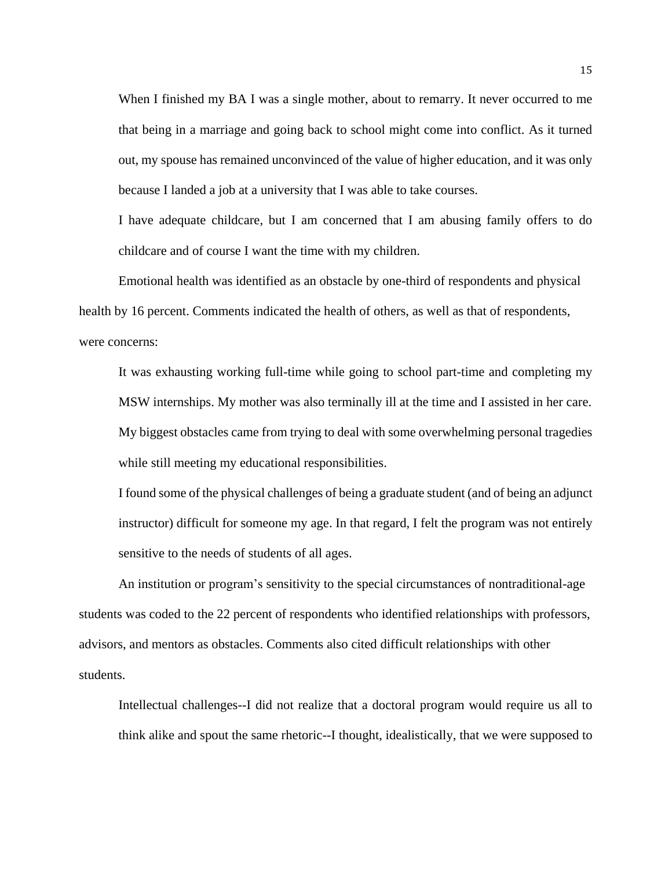When I finished my BA I was a single mother, about to remarry. It never occurred to me that being in a marriage and going back to school might come into conflict. As it turned out, my spouse has remained unconvinced of the value of higher education, and it was only because I landed a job at a university that I was able to take courses.

I have adequate childcare, but I am concerned that I am abusing family offers to do childcare and of course I want the time with my children.

Emotional health was identified as an obstacle by one-third of respondents and physical health by 16 percent. Comments indicated the health of others, as well as that of respondents, were concerns:

It was exhausting working full-time while going to school part-time and completing my MSW internships. My mother was also terminally ill at the time and I assisted in her care. My biggest obstacles came from trying to deal with some overwhelming personal tragedies while still meeting my educational responsibilities.

I found some of the physical challenges of being a graduate student (and of being an adjunct instructor) difficult for someone my age. In that regard, I felt the program was not entirely sensitive to the needs of students of all ages.

An institution or program's sensitivity to the special circumstances of nontraditional-age students was coded to the 22 percent of respondents who identified relationships with professors, advisors, and mentors as obstacles. Comments also cited difficult relationships with other students.

Intellectual challenges--I did not realize that a doctoral program would require us all to think alike and spout the same rhetoric--I thought, idealistically, that we were supposed to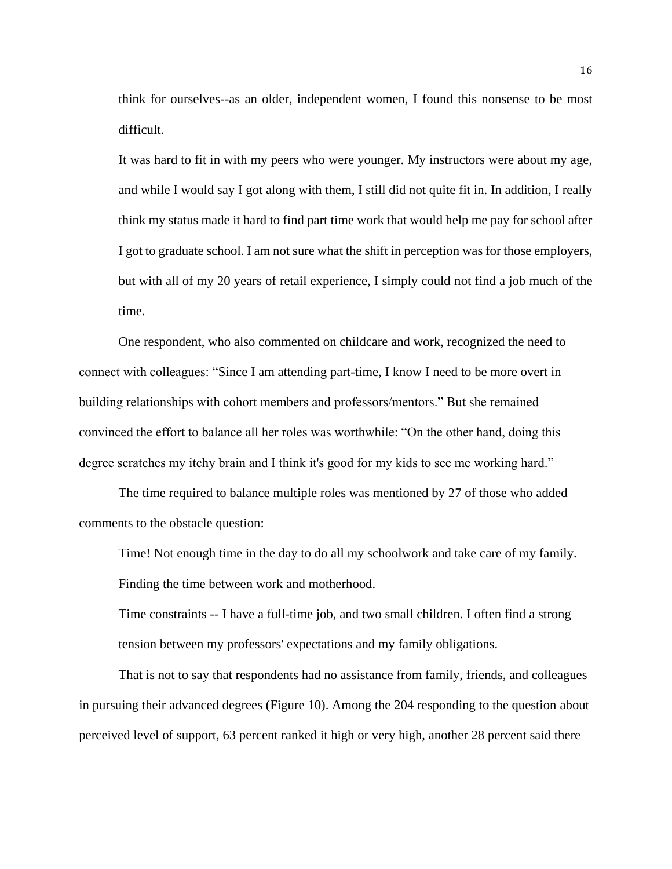think for ourselves--as an older, independent women, I found this nonsense to be most difficult.

It was hard to fit in with my peers who were younger. My instructors were about my age, and while I would say I got along with them, I still did not quite fit in. In addition, I really think my status made it hard to find part time work that would help me pay for school after I got to graduate school. I am not sure what the shift in perception was for those employers, but with all of my 20 years of retail experience, I simply could not find a job much of the time.

One respondent, who also commented on childcare and work, recognized the need to connect with colleagues: "Since I am attending part-time, I know I need to be more overt in building relationships with cohort members and professors/mentors." But she remained convinced the effort to balance all her roles was worthwhile: "On the other hand, doing this degree scratches my itchy brain and I think it's good for my kids to see me working hard."

The time required to balance multiple roles was mentioned by 27 of those who added comments to the obstacle question:

Time! Not enough time in the day to do all my schoolwork and take care of my family. Finding the time between work and motherhood.

Time constraints -- I have a full-time job, and two small children. I often find a strong tension between my professors' expectations and my family obligations.

That is not to say that respondents had no assistance from family, friends, and colleagues in pursuing their advanced degrees (Figure 10). Among the 204 responding to the question about perceived level of support, 63 percent ranked it high or very high, another 28 percent said there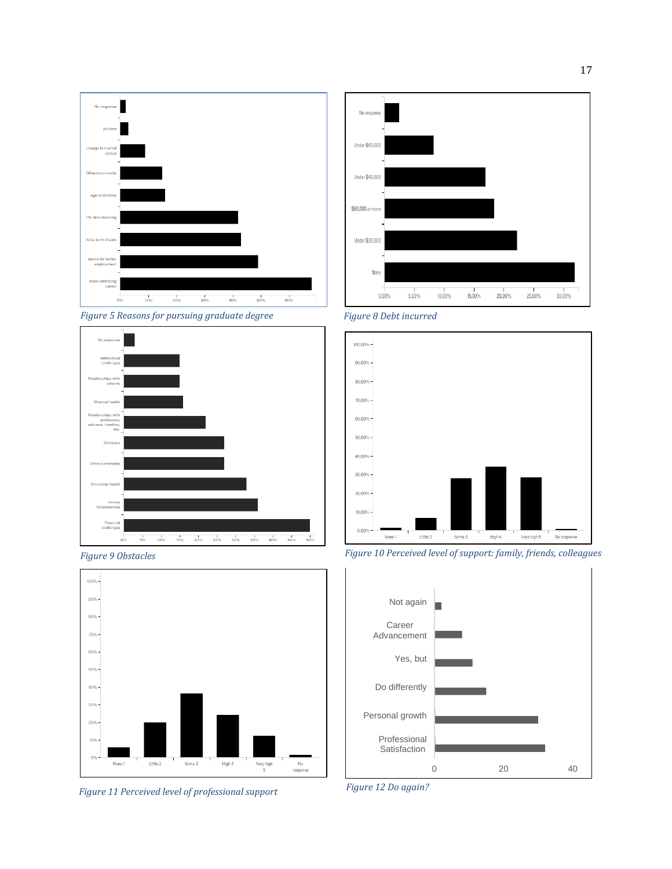







*Figure 11 Perceived level of professional support Figure 12 Do again?*







*Figure 9 Obstacles Figure 10 Perceived level of support: family, friends, colleagues*



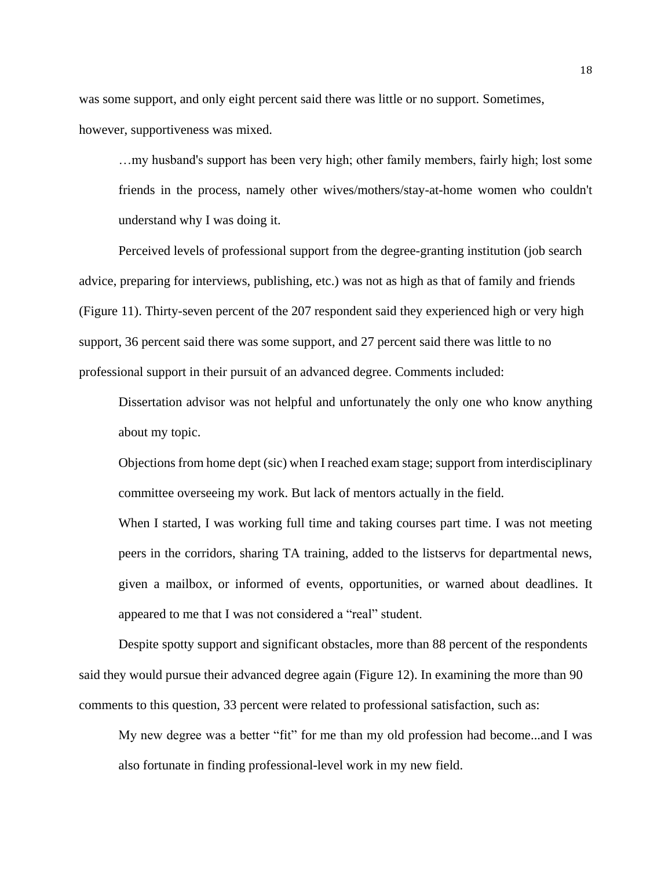was some support, and only eight percent said there was little or no support. Sometimes, however, supportiveness was mixed.

…my husband's support has been very high; other family members, fairly high; lost some friends in the process, namely other wives/mothers/stay-at-home women who couldn't understand why I was doing it.

Perceived levels of professional support from the degree-granting institution (job search advice, preparing for interviews, publishing, etc.) was not as high as that of family and friends (Figure 11). Thirty-seven percent of the 207 respondent said they experienced high or very high support, 36 percent said there was some support, and 27 percent said there was little to no professional support in their pursuit of an advanced degree. Comments included:

Dissertation advisor was not helpful and unfortunately the only one who know anything about my topic.

Objections from home dept (sic) when I reached exam stage; support from interdisciplinary committee overseeing my work. But lack of mentors actually in the field.

When I started, I was working full time and taking courses part time. I was not meeting peers in the corridors, sharing TA training, added to the listservs for departmental news, given a mailbox, or informed of events, opportunities, or warned about deadlines. It appeared to me that I was not considered a "real" student.

Despite spotty support and significant obstacles, more than 88 percent of the respondents said they would pursue their advanced degree again (Figure 12). In examining the more than 90 comments to this question, 33 percent were related to professional satisfaction, such as:

My new degree was a better "fit" for me than my old profession had become...and I was also fortunate in finding professional-level work in my new field.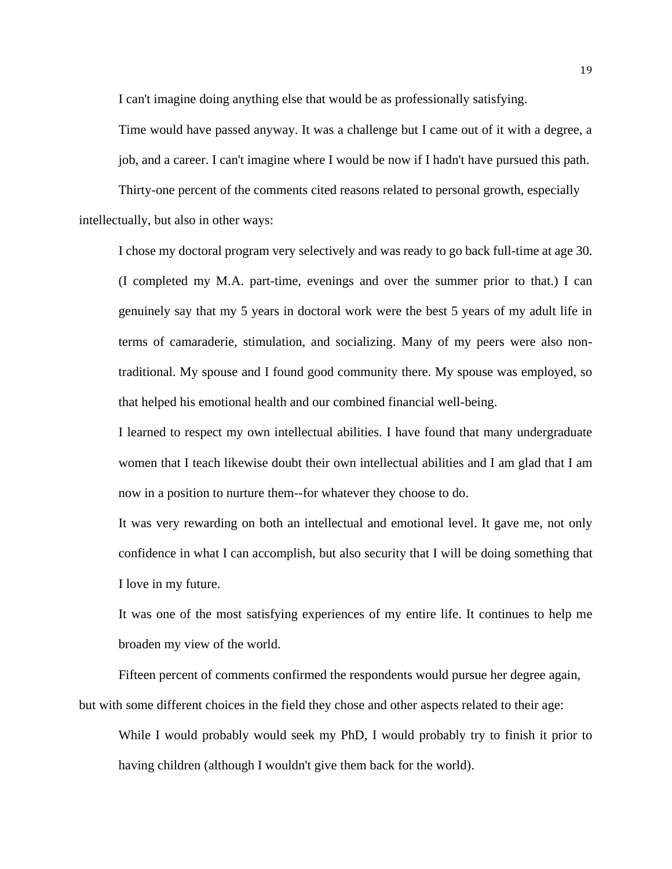I can't imagine doing anything else that would be as professionally satisfying.

Time would have passed anyway. It was a challenge but I came out of it with a degree, a job, and a career. I can't imagine where I would be now if I hadn't have pursued this path.

Thirty-one percent of the comments cited reasons related to personal growth, especially intellectually, but also in other ways:

I chose my doctoral program very selectively and was ready to go back full-time at age 30. (I completed my M.A. part-time, evenings and over the summer prior to that.) I can genuinely say that my 5 years in doctoral work were the best 5 years of my adult life in terms of camaraderie, stimulation, and socializing. Many of my peers were also nontraditional. My spouse and I found good community there. My spouse was employed, so that helped his emotional health and our combined financial well-being.

I learned to respect my own intellectual abilities. I have found that many undergraduate women that I teach likewise doubt their own intellectual abilities and I am glad that I am now in a position to nurture them--for whatever they choose to do.

It was very rewarding on both an intellectual and emotional level. It gave me, not only confidence in what I can accomplish, but also security that I will be doing something that I love in my future.

It was one of the most satisfying experiences of my entire life. It continues to help me broaden my view of the world.

Fifteen percent of comments confirmed the respondents would pursue her degree again, but with some different choices in the field they chose and other aspects related to their age:

While I would probably would seek my PhD, I would probably try to finish it prior to having children (although I wouldn't give them back for the world).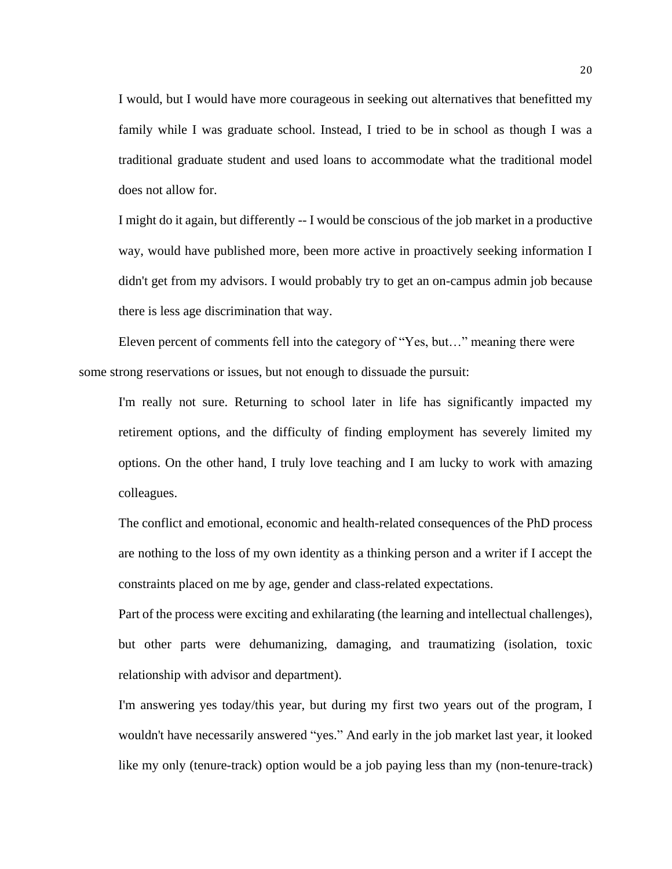I would, but I would have more courageous in seeking out alternatives that benefitted my family while I was graduate school. Instead, I tried to be in school as though I was a traditional graduate student and used loans to accommodate what the traditional model does not allow for.

I might do it again, but differently -- I would be conscious of the job market in a productive way, would have published more, been more active in proactively seeking information I didn't get from my advisors. I would probably try to get an on-campus admin job because there is less age discrimination that way.

Eleven percent of comments fell into the category of "Yes, but…" meaning there were some strong reservations or issues, but not enough to dissuade the pursuit:

I'm really not sure. Returning to school later in life has significantly impacted my retirement options, and the difficulty of finding employment has severely limited my options. On the other hand, I truly love teaching and I am lucky to work with amazing colleagues.

The conflict and emotional, economic and health-related consequences of the PhD process are nothing to the loss of my own identity as a thinking person and a writer if I accept the constraints placed on me by age, gender and class-related expectations.

Part of the process were exciting and exhilarating (the learning and intellectual challenges), but other parts were dehumanizing, damaging, and traumatizing (isolation, toxic relationship with advisor and department).

I'm answering yes today/this year, but during my first two years out of the program, I wouldn't have necessarily answered "yes." And early in the job market last year, it looked like my only (tenure-track) option would be a job paying less than my (non-tenure-track)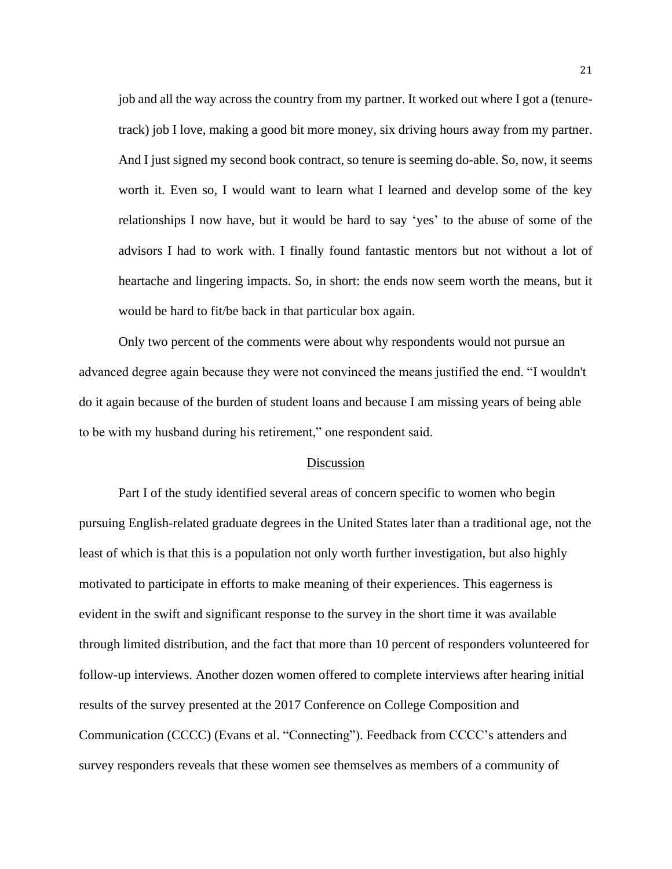job and all the way across the country from my partner. It worked out where I got a (tenuretrack) job I love, making a good bit more money, six driving hours away from my partner. And I just signed my second book contract, so tenure is seeming do-able. So, now, it seems worth it. Even so, I would want to learn what I learned and develop some of the key relationships I now have, but it would be hard to say 'yes' to the abuse of some of the advisors I had to work with. I finally found fantastic mentors but not without a lot of heartache and lingering impacts. So, in short: the ends now seem worth the means, but it would be hard to fit/be back in that particular box again.

Only two percent of the comments were about why respondents would not pursue an advanced degree again because they were not convinced the means justified the end. "I wouldn't do it again because of the burden of student loans and because I am missing years of being able to be with my husband during his retirement," one respondent said.

## Discussion

Part I of the study identified several areas of concern specific to women who begin pursuing English-related graduate degrees in the United States later than a traditional age, not the least of which is that this is a population not only worth further investigation, but also highly motivated to participate in efforts to make meaning of their experiences. This eagerness is evident in the swift and significant response to the survey in the short time it was available through limited distribution, and the fact that more than 10 percent of responders volunteered for follow-up interviews. Another dozen women offered to complete interviews after hearing initial results of the survey presented at the 2017 Conference on College Composition and Communication (CCCC) (Evans et al. "Connecting"). Feedback from CCCC's attenders and survey responders reveals that these women see themselves as members of a community of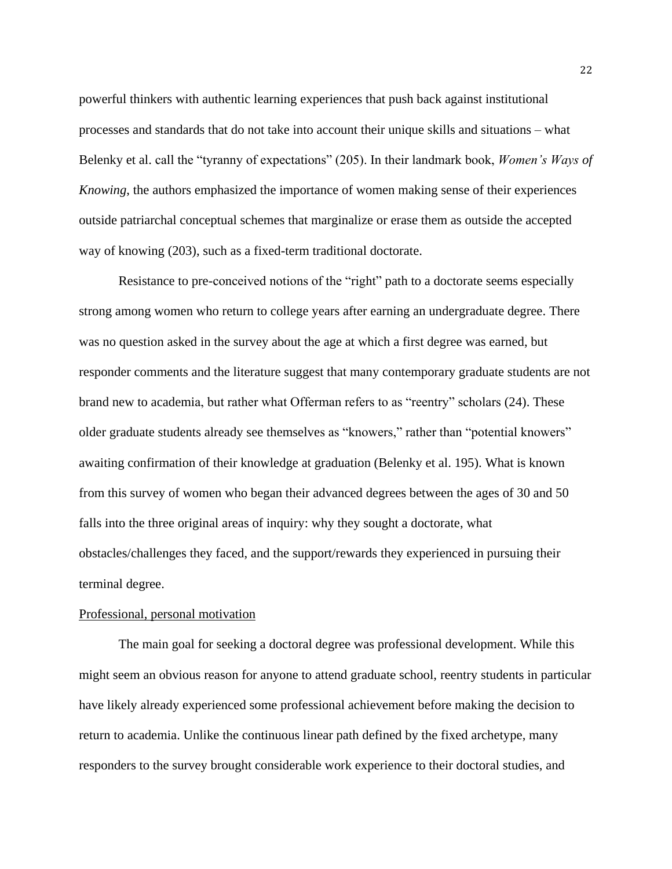powerful thinkers with authentic learning experiences that push back against institutional processes and standards that do not take into account their unique skills and situations – what Belenky et al. call the "tyranny of expectations" (205). In their landmark book, *Women's Ways of Knowing*, the authors emphasized the importance of women making sense of their experiences outside patriarchal conceptual schemes that marginalize or erase them as outside the accepted way of knowing (203), such as a fixed-term traditional doctorate.

Resistance to pre-conceived notions of the "right" path to a doctorate seems especially strong among women who return to college years after earning an undergraduate degree. There was no question asked in the survey about the age at which a first degree was earned, but responder comments and the literature suggest that many contemporary graduate students are not brand new to academia, but rather what Offerman refers to as "reentry" scholars (24). These older graduate students already see themselves as "knowers," rather than "potential knowers" awaiting confirmation of their knowledge at graduation (Belenky et al. 195). What is known from this survey of women who began their advanced degrees between the ages of 30 and 50 falls into the three original areas of inquiry: why they sought a doctorate, what obstacles/challenges they faced, and the support/rewards they experienced in pursuing their terminal degree.

## Professional, personal motivation

The main goal for seeking a doctoral degree was professional development. While this might seem an obvious reason for anyone to attend graduate school, reentry students in particular have likely already experienced some professional achievement before making the decision to return to academia. Unlike the continuous linear path defined by the fixed archetype, many responders to the survey brought considerable work experience to their doctoral studies, and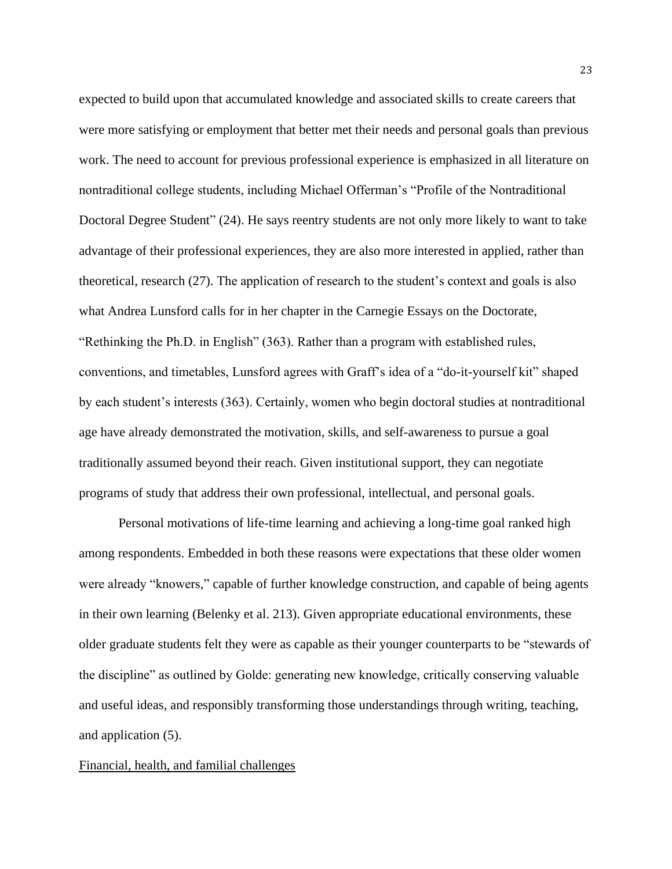expected to build upon that accumulated knowledge and associated skills to create careers that were more satisfying or employment that better met their needs and personal goals than previous work. The need to account for previous professional experience is emphasized in all literature on nontraditional college students, including Michael Offerman's "Profile of the Nontraditional Doctoral Degree Student" (24). He says reentry students are not only more likely to want to take advantage of their professional experiences, they are also more interested in applied, rather than theoretical, research (27). The application of research to the student's context and goals is also what Andrea Lunsford calls for in her chapter in the Carnegie Essays on the Doctorate, "Rethinking the Ph.D. in English" (363). Rather than a program with established rules, conventions, and timetables, Lunsford agrees with Graff's idea of a "do-it-yourself kit" shaped by each student's interests (363). Certainly, women who begin doctoral studies at nontraditional age have already demonstrated the motivation, skills, and self-awareness to pursue a goal traditionally assumed beyond their reach. Given institutional support, they can negotiate programs of study that address their own professional, intellectual, and personal goals.

Personal motivations of life-time learning and achieving a long-time goal ranked high among respondents. Embedded in both these reasons were expectations that these older women were already "knowers," capable of further knowledge construction, and capable of being agents in their own learning (Belenky et al. 213). Given appropriate educational environments, these older graduate students felt they were as capable as their younger counterparts to be "stewards of the discipline" as outlined by Golde: generating new knowledge, critically conserving valuable and useful ideas, and responsibly transforming those understandings through writing, teaching, and application (5).

## Financial, health, and familial challenges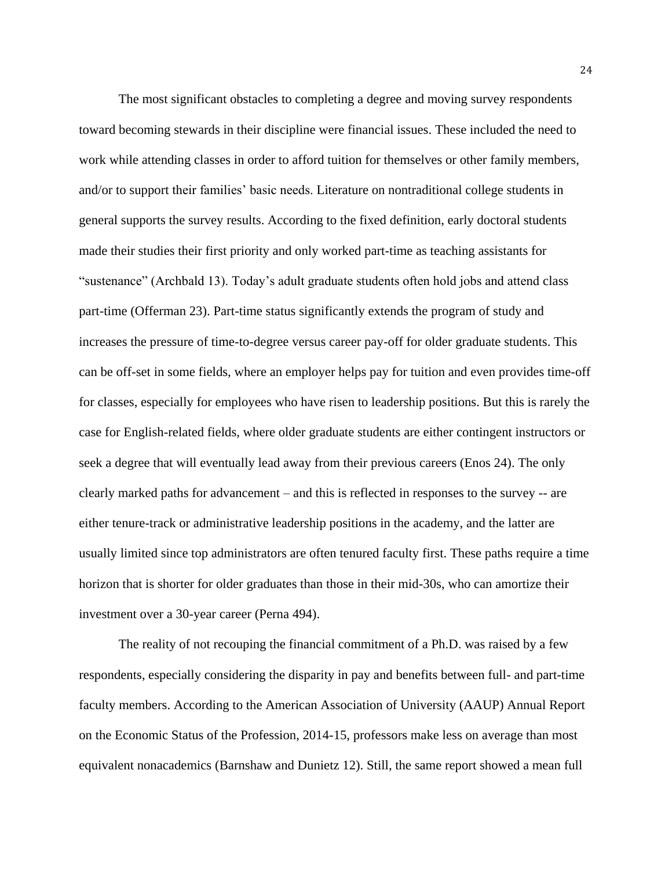The most significant obstacles to completing a degree and moving survey respondents toward becoming stewards in their discipline were financial issues. These included the need to work while attending classes in order to afford tuition for themselves or other family members, and/or to support their families' basic needs. Literature on nontraditional college students in general supports the survey results. According to the fixed definition, early doctoral students made their studies their first priority and only worked part-time as teaching assistants for "sustenance" (Archbald 13). Today's adult graduate students often hold jobs and attend class part-time (Offerman 23). Part-time status significantly extends the program of study and increases the pressure of time-to-degree versus career pay-off for older graduate students. This can be off-set in some fields, where an employer helps pay for tuition and even provides time-off for classes, especially for employees who have risen to leadership positions. But this is rarely the case for English-related fields, where older graduate students are either contingent instructors or seek a degree that will eventually lead away from their previous careers (Enos 24). The only clearly marked paths for advancement – and this is reflected in responses to the survey -- are either tenure-track or administrative leadership positions in the academy, and the latter are usually limited since top administrators are often tenured faculty first. These paths require a time horizon that is shorter for older graduates than those in their mid-30s, who can amortize their investment over a 30-year career (Perna 494).

The reality of not recouping the financial commitment of a Ph.D. was raised by a few respondents, especially considering the disparity in pay and benefits between full- and part-time faculty members. According to the American Association of University (AAUP) Annual Report on the Economic Status of the Profession, 2014-15, professors make less on average than most equivalent nonacademics (Barnshaw and Dunietz 12). Still, the same report showed a mean full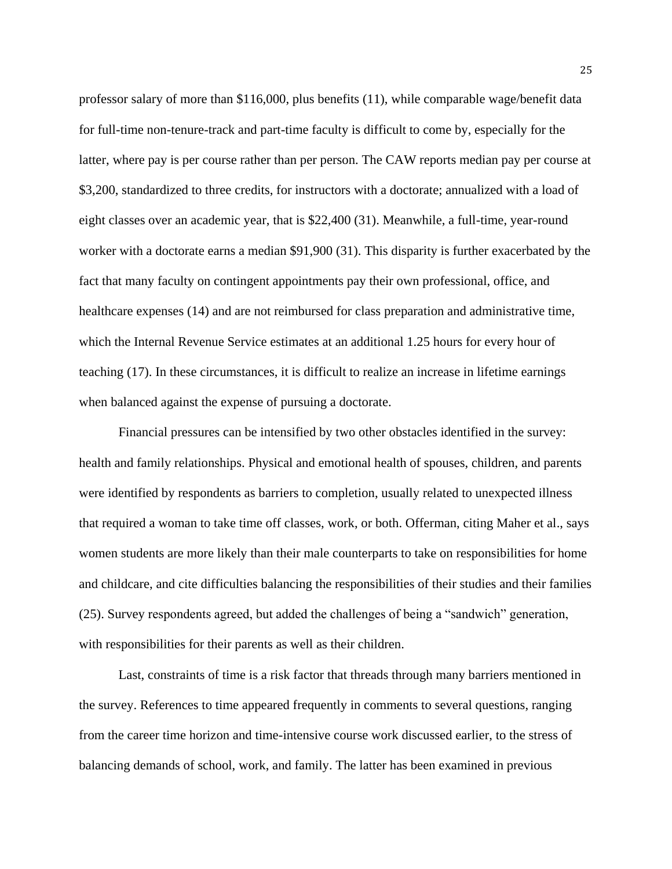professor salary of more than \$116,000, plus benefits (11), while comparable wage/benefit data for full-time non-tenure-track and part-time faculty is difficult to come by, especially for the latter, where pay is per course rather than per person. The CAW reports median pay per course at \$3,200, standardized to three credits, for instructors with a doctorate; annualized with a load of eight classes over an academic year, that is \$22,400 (31). Meanwhile, a full-time, year-round worker with a doctorate earns a median \$91,900 (31). This disparity is further exacerbated by the fact that many faculty on contingent appointments pay their own professional, office, and healthcare expenses (14) and are not reimbursed for class preparation and administrative time, which the Internal Revenue Service estimates at an additional 1.25 hours for every hour of teaching (17). In these circumstances, it is difficult to realize an increase in lifetime earnings when balanced against the expense of pursuing a doctorate.

Financial pressures can be intensified by two other obstacles identified in the survey: health and family relationships. Physical and emotional health of spouses, children, and parents were identified by respondents as barriers to completion, usually related to unexpected illness that required a woman to take time off classes, work, or both. Offerman, citing Maher et al., says women students are more likely than their male counterparts to take on responsibilities for home and childcare, and cite difficulties balancing the responsibilities of their studies and their families (25). Survey respondents agreed, but added the challenges of being a "sandwich" generation, with responsibilities for their parents as well as their children.

Last, constraints of time is a risk factor that threads through many barriers mentioned in the survey. References to time appeared frequently in comments to several questions, ranging from the career time horizon and time-intensive course work discussed earlier, to the stress of balancing demands of school, work, and family. The latter has been examined in previous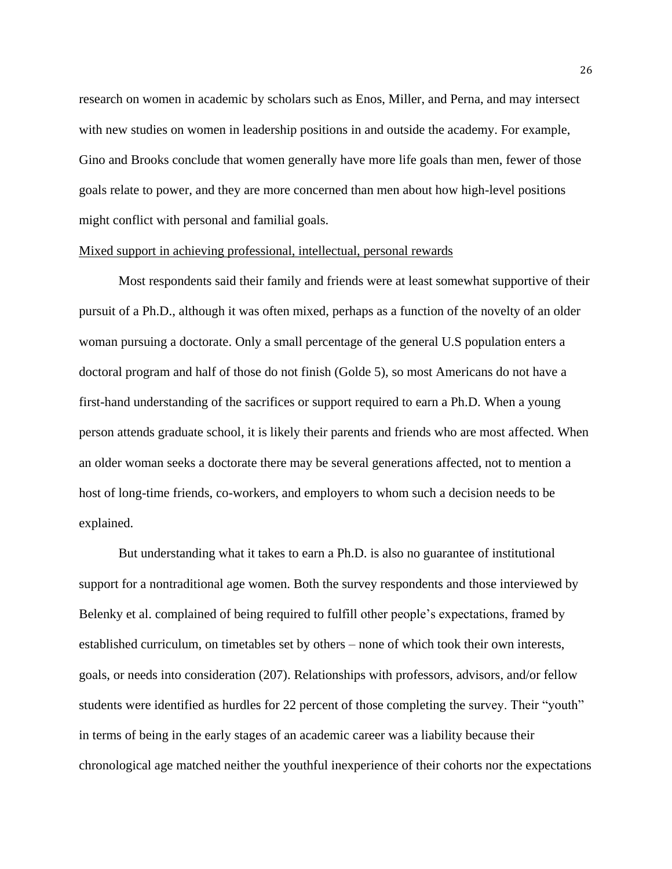research on women in academic by scholars such as Enos, Miller, and Perna, and may intersect with new studies on women in leadership positions in and outside the academy. For example, Gino and Brooks conclude that women generally have more life goals than men, fewer of those goals relate to power, and they are more concerned than men about how high-level positions might conflict with personal and familial goals.

## Mixed support in achieving professional, intellectual, personal rewards

Most respondents said their family and friends were at least somewhat supportive of their pursuit of a Ph.D., although it was often mixed, perhaps as a function of the novelty of an older woman pursuing a doctorate. Only a small percentage of the general U.S population enters a doctoral program and half of those do not finish (Golde 5), so most Americans do not have a first-hand understanding of the sacrifices or support required to earn a Ph.D. When a young person attends graduate school, it is likely their parents and friends who are most affected. When an older woman seeks a doctorate there may be several generations affected, not to mention a host of long-time friends, co-workers, and employers to whom such a decision needs to be explained.

But understanding what it takes to earn a Ph.D. is also no guarantee of institutional support for a nontraditional age women. Both the survey respondents and those interviewed by Belenky et al. complained of being required to fulfill other people's expectations, framed by established curriculum, on timetables set by others – none of which took their own interests, goals, or needs into consideration (207). Relationships with professors, advisors, and/or fellow students were identified as hurdles for 22 percent of those completing the survey. Their "youth" in terms of being in the early stages of an academic career was a liability because their chronological age matched neither the youthful inexperience of their cohorts nor the expectations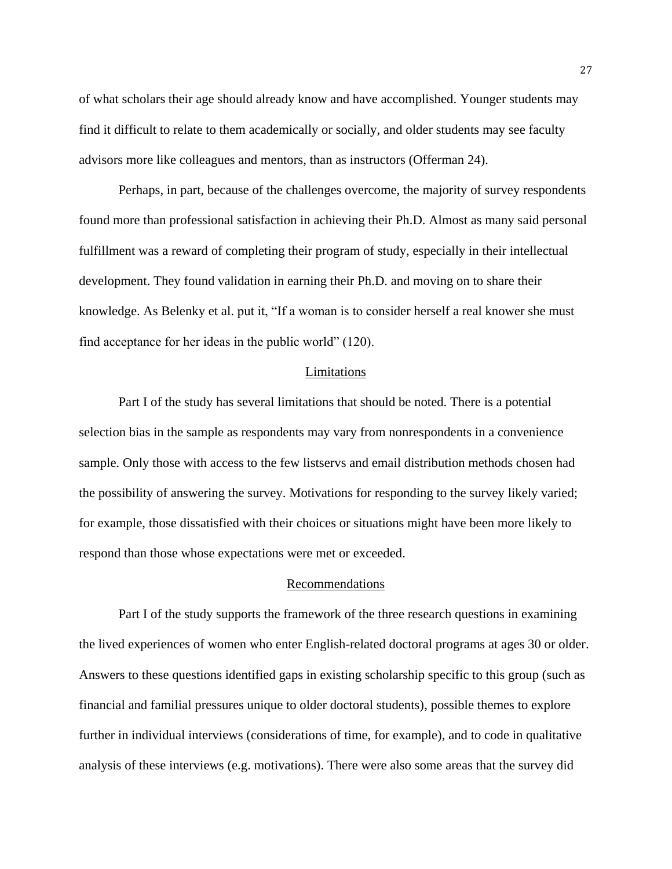of what scholars their age should already know and have accomplished. Younger students may find it difficult to relate to them academically or socially, and older students may see faculty advisors more like colleagues and mentors, than as instructors (Offerman 24).

Perhaps, in part, because of the challenges overcome, the majority of survey respondents found more than professional satisfaction in achieving their Ph.D. Almost as many said personal fulfillment was a reward of completing their program of study, especially in their intellectual development. They found validation in earning their Ph.D. and moving on to share their knowledge. As Belenky et al. put it, "If a woman is to consider herself a real knower she must find acceptance for her ideas in the public world" (120).

#### Limitations

Part I of the study has several limitations that should be noted. There is a potential selection bias in the sample as respondents may vary from nonrespondents in a convenience sample. Only those with access to the few listservs and email distribution methods chosen had the possibility of answering the survey. Motivations for responding to the survey likely varied; for example, those dissatisfied with their choices or situations might have been more likely to respond than those whose expectations were met or exceeded.

## Recommendations

Part I of the study supports the framework of the three research questions in examining the lived experiences of women who enter English-related doctoral programs at ages 30 or older. Answers to these questions identified gaps in existing scholarship specific to this group (such as financial and familial pressures unique to older doctoral students), possible themes to explore further in individual interviews (considerations of time, for example), and to code in qualitative analysis of these interviews (e.g. motivations). There were also some areas that the survey did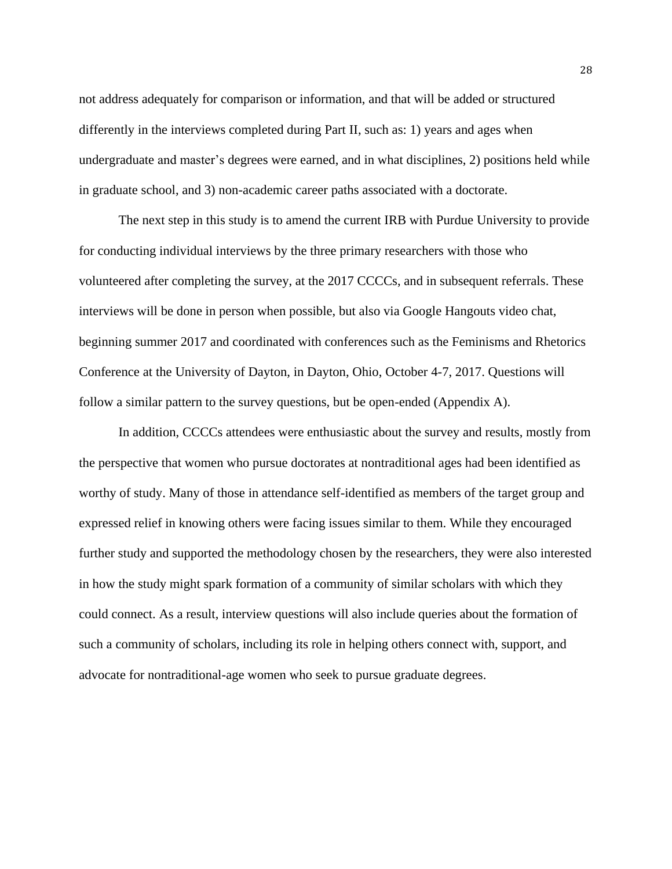not address adequately for comparison or information, and that will be added or structured differently in the interviews completed during Part II, such as: 1) years and ages when undergraduate and master's degrees were earned, and in what disciplines, 2) positions held while in graduate school, and 3) non-academic career paths associated with a doctorate.

The next step in this study is to amend the current IRB with Purdue University to provide for conducting individual interviews by the three primary researchers with those who volunteered after completing the survey, at the 2017 CCCCs, and in subsequent referrals. These interviews will be done in person when possible, but also via Google Hangouts video chat, beginning summer 2017 and coordinated with conferences such as the Feminisms and Rhetorics Conference at the University of Dayton, in Dayton, Ohio, October 4-7, 2017. Questions will follow a similar pattern to the survey questions, but be open-ended (Appendix A).

In addition, CCCCs attendees were enthusiastic about the survey and results, mostly from the perspective that women who pursue doctorates at nontraditional ages had been identified as worthy of study. Many of those in attendance self-identified as members of the target group and expressed relief in knowing others were facing issues similar to them. While they encouraged further study and supported the methodology chosen by the researchers, they were also interested in how the study might spark formation of a community of similar scholars with which they could connect. As a result, interview questions will also include queries about the formation of such a community of scholars, including its role in helping others connect with, support, and advocate for nontraditional-age women who seek to pursue graduate degrees.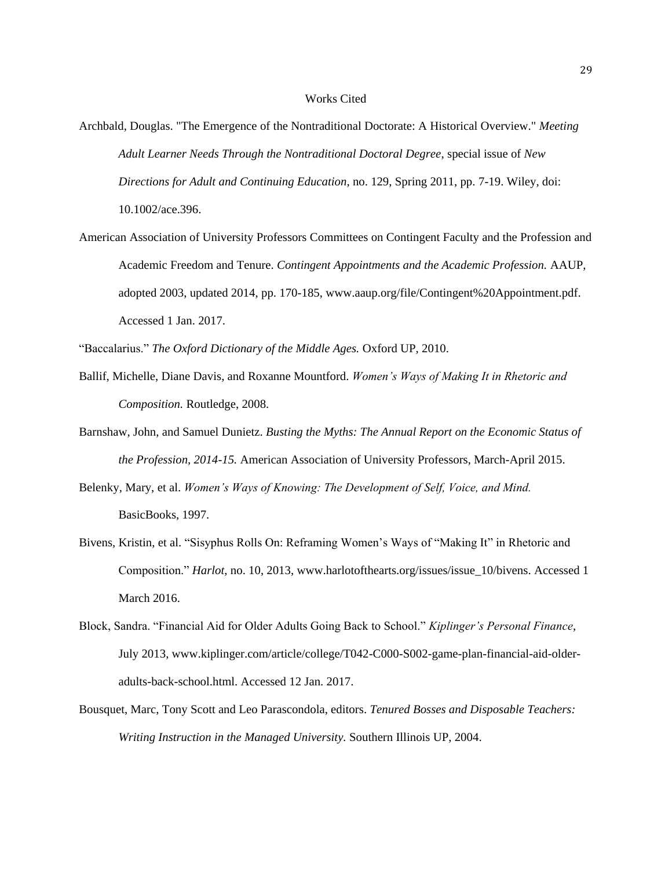### Works Cited

- Archbald, Douglas. "The Emergence of the Nontraditional Doctorate: A Historical Overview." *Meeting Adult Learner Needs Through the Nontraditional Doctoral Degree*, special issue of *New Directions for Adult and Continuing Education*, no. 129, Spring 2011, pp. 7-19. Wiley, doi: 10.1002/ace.396.
- American Association of University Professors Committees on Contingent Faculty and the Profession and Academic Freedom and Tenure. *Contingent Appointments and the Academic Profession.* AAUP, adopted 2003, updated 2014, pp. 170-185, www.aaup.org/file/Contingent%20Appointment.pdf. Accessed 1 Jan. 2017.

"Baccalarius." *The Oxford Dictionary of the Middle Ages.* Oxford UP, 2010.

- Ballif, Michelle, Diane Davis, and Roxanne Mountford. *Women's Ways of Making It in Rhetoric and Composition.* Routledge, 2008.
- Barnshaw, John, and Samuel Dunietz. *Busting the Myths: The Annual Report on the Economic Status of the Profession, 2014-15.* American Association of University Professors, March-April 2015.
- Belenky, Mary, et al. *Women's Ways of Knowing: The Development of Self, Voice, and Mind.* BasicBooks, 1997.
- Bivens, Kristin, et al. "Sisyphus Rolls On: Reframing Women's Ways of "Making It" in Rhetoric and Composition." *Harlot*, no. 10, 2013, www.harlotofthearts.org/issues/issue\_10/bivens. Accessed 1 March 2016.
- Block, Sandra. "Financial Aid for Older Adults Going Back to School." *Kiplinger's Personal Finance*, July 2013, www.kiplinger.com/article/college/T042-C000-S002-game-plan-financial-aid-olderadults-back-school.html. Accessed 12 Jan. 2017.
- Bousquet, Marc, Tony Scott and Leo Parascondola, editors. *Tenured Bosses and Disposable Teachers: Writing Instruction in the Managed University.* Southern Illinois UP, 2004.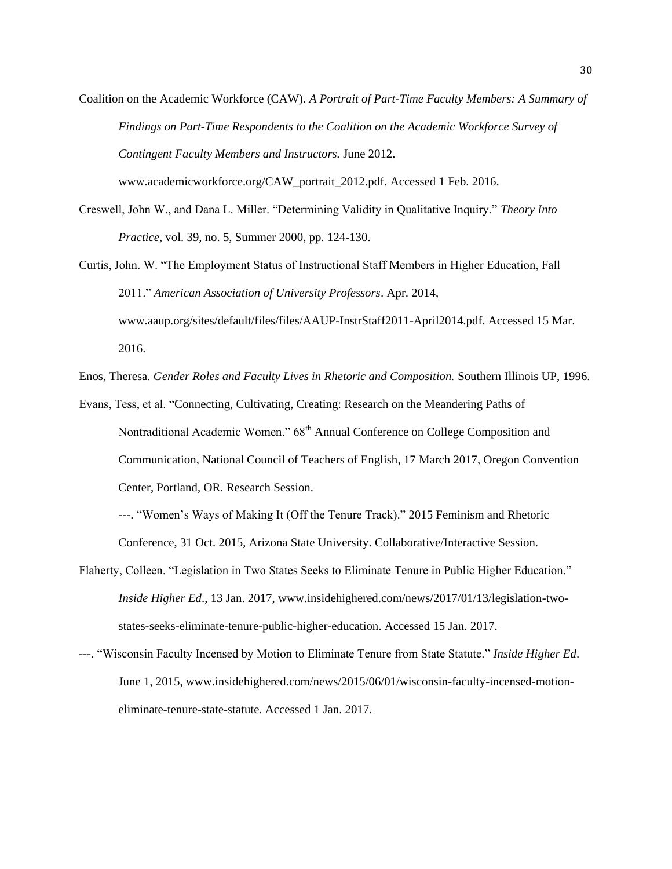Coalition on the Academic Workforce (CAW). *A Portrait of Part-Time Faculty Members: A Summary of Findings on Part-Time Respondents to the Coalition on the Academic Workforce Survey of Contingent Faculty Members and Instructors.* June 2012.

www.academicworkforce.org/CAW\_portrait\_2012.pdf. Accessed 1 Feb. 2016.

- Creswell, John W., and Dana L. Miller. "Determining Validity in Qualitative Inquiry." *Theory Into Practice*, vol. 39, no. 5, Summer 2000, pp. 124-130.
- Curtis, John. W. "The Employment Status of Instructional Staff Members in Higher Education, Fall 2011." *American Association of University Professors*. Apr. 2014, www.aaup.org/sites/default/files/files/AAUP-InstrStaff2011-April2014.pdf. Accessed 15 Mar. 2016.

Enos, Theresa. *Gender Roles and Faculty Lives in Rhetoric and Composition.* Southern Illinois UP, 1996.

Evans, Tess, et al. "Connecting, Cultivating, Creating: Research on the Meandering Paths of Nontraditional Academic Women." 68<sup>th</sup> Annual Conference on College Composition and Communication, National Council of Teachers of English, 17 March 2017, Oregon Convention Center, Portland, OR. Research Session.

---. "Women's Ways of Making It (Off the Tenure Track)." 2015 Feminism and Rhetoric Conference, 31 Oct. 2015, Arizona State University. Collaborative/Interactive Session.

- Flaherty, Colleen. "Legislation in Two States Seeks to Eliminate Tenure in Public Higher Education." *Inside Higher Ed*., 13 Jan. 2017, www.insidehighered.com/news/2017/01/13/legislation-twostates-seeks-eliminate-tenure-public-higher-education. Accessed 15 Jan. 2017.
- ---. "Wisconsin Faculty Incensed by Motion to Eliminate Tenure from State Statute." *Inside Higher Ed*. June 1, 2015, www.insidehighered.com/news/2015/06/01/wisconsin-faculty-incensed-motioneliminate-tenure-state-statute. Accessed 1 Jan. 2017.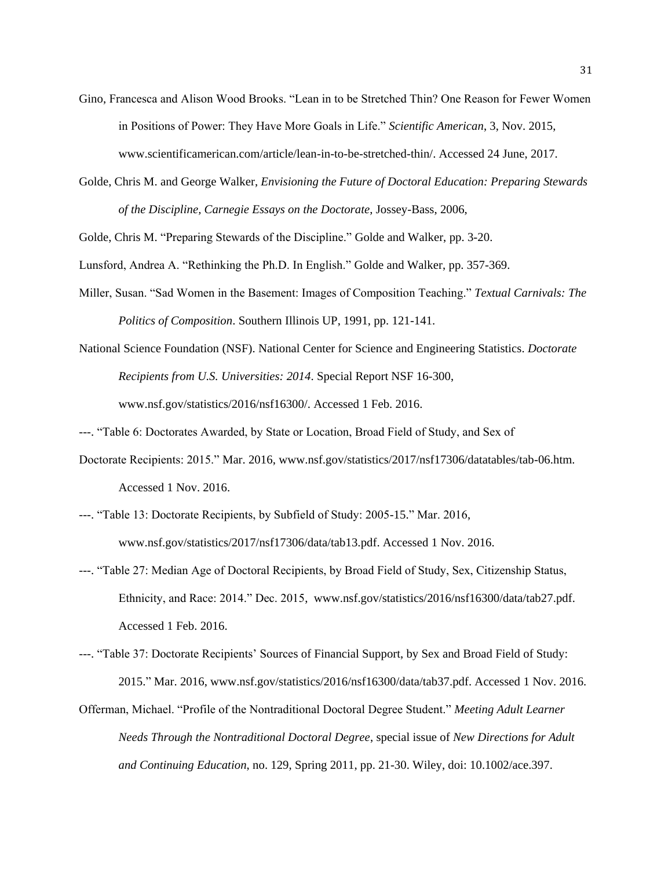- Gino, Francesca and Alison Wood Brooks. "Lean in to be Stretched Thin? One Reason for Fewer Women in Positions of Power: They Have More Goals in Life." *Scientific American*, 3, Nov. 2015, www.scientificamerican.com/article/lean-in-to-be-stretched-thin/. Accessed 24 June, 2017.
- Golde, Chris M. and George Walker, *Envisioning the Future of Doctoral Education: Preparing Stewards of the Discipline, Carnegie Essays on the Doctorate*, Jossey-Bass, 2006,

Golde, Chris M. "Preparing Stewards of the Discipline." Golde and Walker, pp. 3-20.

Lunsford, Andrea A. "Rethinking the Ph.D. In English." Golde and Walker, pp. 357-369.

- Miller, Susan. "Sad Women in the Basement: Images of Composition Teaching." *Textual Carnivals: The Politics of Composition*. Southern Illinois UP, 1991, pp. 121-141.
- National Science Foundation (NSF). National Center for Science and Engineering Statistics. *Doctorate Recipients from U.S. Universities: 2014*. Special Report NSF 16-300, www.nsf.gov/statistics/2016/nsf16300/. Accessed 1 Feb. 2016.

---. "Table 6: Doctorates Awarded, by State or Location, Broad Field of Study, and Sex of

- Doctorate Recipients: 2015." Mar. 2016, www.nsf.gov/statistics/2017/nsf17306/datatables/tab-06.htm. Accessed 1 Nov. 2016.
- ---. "Table 13: Doctorate Recipients, by Subfield of Study: 2005-15." Mar. 2016, www.nsf.gov/statistics/2017/nsf17306/data/tab13.pdf. Accessed 1 Nov. 2016.
- ---. "Table 27: Median Age of Doctoral Recipients, by Broad Field of Study, Sex, Citizenship Status, Ethnicity, and Race: 2014." Dec. 2015, www.nsf.gov/statistics/2016/nsf16300/data/tab27.pdf. Accessed 1 Feb. 2016.
- ---. "Table 37: Doctorate Recipients' Sources of Financial Support, by Sex and Broad Field of Study: 2015." Mar. 2016, www.nsf.gov/statistics/2016/nsf16300/data/tab37.pdf. Accessed 1 Nov. 2016.
- Offerman, Michael. "Profile of the Nontraditional Doctoral Degree Student." *Meeting Adult Learner Needs Through the Nontraditional Doctoral Degree*, special issue of *New Directions for Adult and Continuing Education*, no. 129, Spring 2011, pp. 21-30. Wiley, doi: 10.1002/ace.397.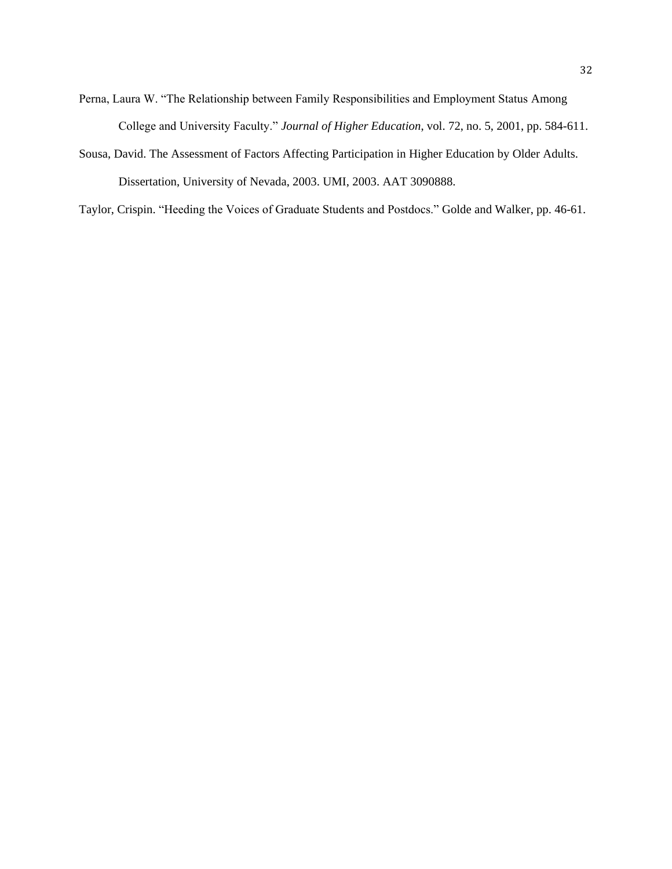- Perna, Laura W. "The Relationship between Family Responsibilities and Employment Status Among College and University Faculty." *Journal of Higher Education*, vol. 72, no. 5, 2001, pp. 584-611.
- Sousa, David. The Assessment of Factors Affecting Participation in Higher Education by Older Adults. Dissertation, University of Nevada, 2003. UMI, 2003. AAT 3090888.

Taylor, Crispin. "Heeding the Voices of Graduate Students and Postdocs." Golde and Walker, pp. 46-61.